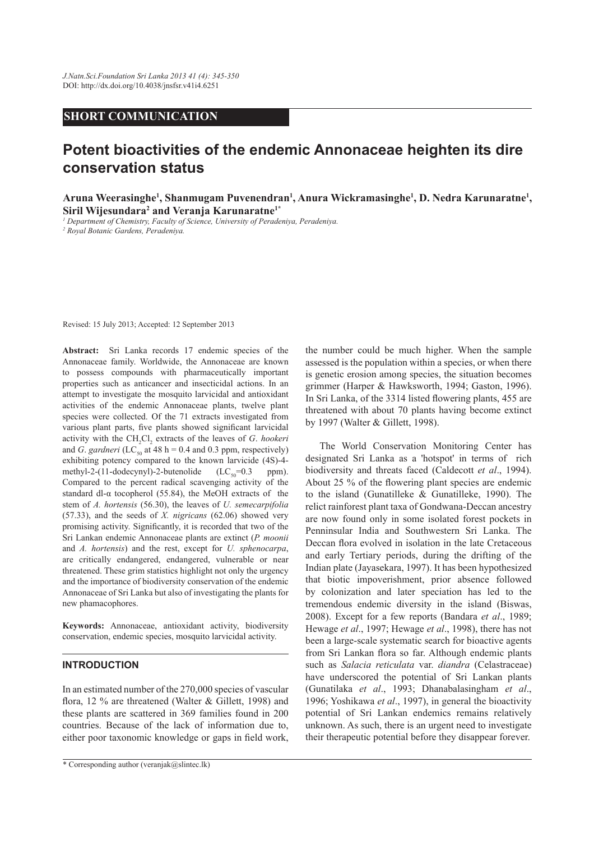## **SHORT COMMUNICATION**

# **Potent bioactivities of the endemic Annonaceae heighten its dire conservation status**

**Aruna Weerasinghe<sup>1</sup> , Shanmugam Puvenendran<sup>1</sup> , Anura Wickramasinghe<sup>1</sup> , D. Nedra Karunaratne<sup>1</sup> , Siril Wijesundara<sup>2</sup> and Veranja Karunaratne1\***

*1 Department of Chemistry, Faculty of Science, University of Peradeniya, Peradeniya. 2 Royal Botanic Gardens, Peradeniya.*

Revised: 15 July 2013; Accepted: 12 September 2013

**Abstract:** Sri Lanka records 17 endemic species of the Annonaceae family. Worldwide, the Annonaceae are known to possess compounds with pharmaceutically important properties such as anticancer and insecticidal actions. In an attempt to investigate the mosquito larvicidal and antioxidant activities of the endemic Annonaceae plants, twelve plant species were collected. Of the 71 extracts investigated from various plant parts, five plants showed significant larvicidal activity with the CH<sub>2</sub>Cl<sub>2</sub> extracts of the leaves of *G. hookeri* and *G*. *gardneri* (LC<sub>50</sub> at 48 h = 0.4 and 0.3 ppm, respectively) exhibiting potency compared to the known larvicide (4S)-4 methyl-2-(11-dodecynyl)-2-butenolide  $(LC_{50}=0.3$  ppm). Compared to the percent radical scavenging activity of the standard dl- $\alpha$  tocopherol (55.84), the MeOH extracts of the stem of *A. hortensis* (56.30), the leaves of *U. semecarpifolia*  (57.33), and the seeds of *X. nigricans* (62.06) showed very promising activity. Significantly, it is recorded that two of the Sri Lankan endemic Annonaceae plants are extinct (*P. moonii*  and *A. hortensis*) and the rest, except for *U. sphenocarpa*, are critically endangered, endangered, vulnerable or near threatened. These grim statistics highlight not only the urgency and the importance of biodiversity conservation of the endemic Annonaceae of Sri Lanka but also of investigating the plants for new phamacophores.

**Keywords:** Annonaceae, antioxidant activity, biodiversity conservation, endemic species, mosquito larvicidal activity.

## **INTRODUCTION**

In an estimated number of the 270,000 species of vascular flora, 12 % are threatened (Walter & Gillett, 1998) and these plants are scattered in 369 families found in 200 countries. Because of the lack of information due to, either poor taxonomic knowledge or gaps in field work, the number could be much higher. When the sample assessed is the population within a species, or when there is genetic erosion among species, the situation becomes grimmer (Harper & Hawksworth, 1994; Gaston, 1996). In Sri Lanka, of the 3314 listed flowering plants, 455 are threatened with about 70 plants having become extinct by 1997 (Walter & Gillett, 1998).

 The World Conservation Monitoring Center has designated Sri Lanka as a 'hotspot' in terms of rich biodiversity and threats faced (Caldecott *et al*., 1994). About 25 % of the flowering plant species are endemic to the island (Gunatilleke & Gunatilleke, 1990). The relict rainforest plant taxa of Gondwana-Deccan ancestry are now found only in some isolated forest pockets in Penninsular India and Southwestern Sri Lanka. The Deccan flora evolved in isolation in the late Cretaceous and early Tertiary periods, during the drifting of the Indian plate (Jayasekara, 1997). It has been hypothesized that biotic impoverishment, prior absence followed by colonization and later speciation has led to the tremendous endemic diversity in the island (Biswas, 2008). Except for a few reports (Bandara *et al*., 1989; Hewage *et al*., 1997; Hewage *et al*., 1998), there has not been a large-scale systematic search for bioactive agents from Sri Lankan flora so far. Although endemic plants such as *Salacia reticulata* var. *diandra* (Celastraceae) have underscored the potential of Sri Lankan plants (Gunatilaka *et al*., 1993; Dhanabalasingham *et al*., 1996; Yoshikawa *et al*., 1997), in general the bioactivity potential of Sri Lankan endemics remains relatively unknown. As such, there is an urgent need to investigate their therapeutic potential before they disappear forever.

<sup>\*</sup> Corresponding author (veranjak@slintec.lk)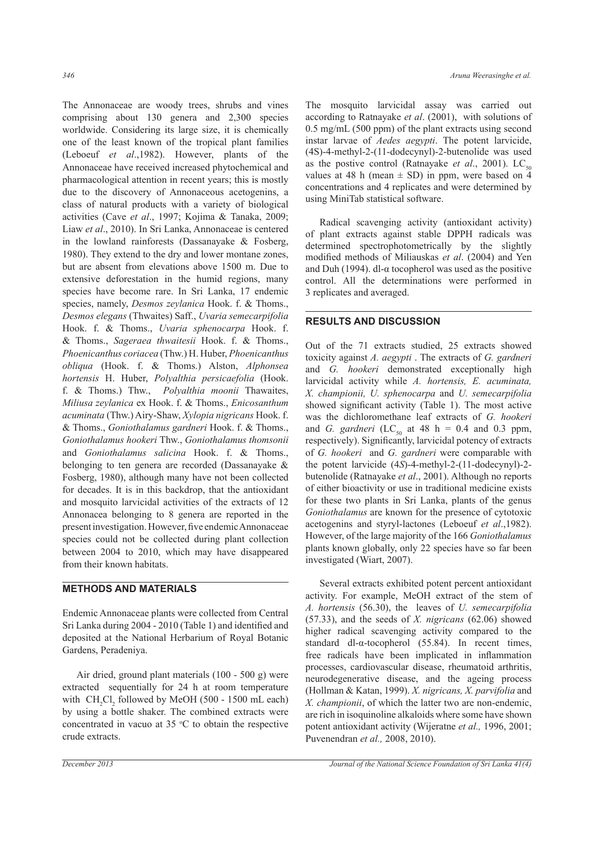The Annonaceae are woody trees, shrubs and vines comprising about 130 genera and 2,300 species worldwide. Considering its large size, it is chemically one of the least known of the tropical plant families (Leboeuf *et al*.,1982). However, plants of the Annonaceae have received increased phytochemical and pharmacological attention in recent years; this is mostly due to the discovery of Annonaceous acetogenins, a class of natural products with a variety of biological activities (Cave *et al*., 1997; Kojima & Tanaka, 2009; Liaw *et al*., 2010). In Sri Lanka, Annonaceae is centered in the lowland rainforests (Dassanayake & Fosberg, 1980). They extend to the dry and lower montane zones, but are absent from elevations above 1500 m. Due to extensive deforestation in the humid regions, many species have become rare. In Sri Lanka, 17 endemic species, namely, *Desmos zeylanica* Hook. f. & Thoms., *Desmos elegans* (Thwaites) Saff., *Uvaria semecarpifolia* Hook. f. & Thoms., *Uvaria sphenocarpa* Hook. f. & Thoms., *Sageraea thwaitesii* Hook. f. & Thoms., *Phoenicanthus coriacea* (Thw.) H. Huber, *Phoenicanthus obliqua* (Hook. f. & Thoms.) Alston, *Alphonsea hortensis* H. Huber, *Polyalthia persicaefolia* (Hook. f. & Thoms.) Thw., *Polyalthia moonii* Thawaites, *Miliusa zeylanica* ex Hook. f. & Thoms., *Enicosanthum acuminata* (Thw.) Airy-Shaw, *Xylopia nigricans* Hook. f. & Thoms., *Goniothalamus gardneri* Hook. f. & Thoms., *Goniothalamus hookeri* Thw., *Goniothalamus thomsonii*  and *Goniothalamus salicina* Hook. f. & Thoms., belonging to ten genera are recorded (Dassanayake & Fosberg, 1980), although many have not been collected for decades. It is in this backdrop, that the antioxidant and mosquito larvicidal activities of the extracts of 12 Annonacea belonging to 8 genera are reported in the present investigation. However, five endemic Annonaceae species could not be collected during plant collection between 2004 to 2010, which may have disappeared from their known habitats.

## **METHODS AND MATERIALS**

Endemic Annonaceae plants were collected from Central Sri Lanka during 2004 - 2010 (Table 1) and identified and deposited at the National Herbarium of Royal Botanic Gardens, Peradeniya.

 Air dried, ground plant materials (100 - 500 g) were extracted sequentially for 24 h at room temperature with  $CH_2Cl_2$  followed by MeOH (500 - 1500 mL each) by using a bottle shaker. The combined extracts were concentrated in vacuo at  $35 \text{ °C}$  to obtain the respective crude extracts.

The mosquito larvicidal assay was carried out according to Ratnayake *et al*. (2001), with solutions of 0.5 mg/mL (500 ppm) of the plant extracts using second instar larvae of *Aedes aegypti*. The potent larvicide, (4S)-4-methyl-2-(11-dodecynyl)-2-butenolide was used as the postive control (Ratnayake *et al.*, 2001). LC<sub>50</sub> values at 48 h (mean  $\pm$  SD) in ppm, were based on 4 concentrations and 4 replicates and were determined by using MiniTab statistical software.

 Radical scavenging activity (antioxidant activity) of plant extracts against stable DPPH radicals was determined spectrophotometrically by the slightly modified methods of Miliauskas *et al*. (2004) and Yen and Duh (1994). dl- $\alpha$  tocopherol was used as the positive control. All the determinations were performed in 3 replicates and averaged.

## **RESULTS AND DISCUSSION**

Out of the 71 extracts studied, 25 extracts showed toxicity against *A. aegypti* . The extracts of *G. gardneri* and *G. hookeri* demonstrated exceptionally high larvicidal activity while *A. hortensis, E. acuminata, X. championii, U. sphenocarpa* and *U. semecarpifolia* showed significant activity (Table 1). The most active was the dichloromethane leaf extracts of *G. hookeri* and *G. gardneri* (LC<sub>50</sub> at 48 h = 0.4 and 0.3 ppm, respectively). Significantly, larvicidal potency of extracts of *G. hookeri* and *G. gardneri* were comparable with the potent larvicide (4*S*)-4-methyl-2-(11-dodecynyl)-2 butenolide (Ratnayake *et al*., 2001). Although no reports of either bioactivity or use in traditional medicine exists for these two plants in Sri Lanka, plants of the genus *Goniothalamus* are known for the presence of cytotoxic acetogenins and styryl-lactones (Leboeuf *et al*.,1982). However, of the large majority of the 166 *Goniothalamus* plants known globally, only 22 species have so far been investigated (Wiart, 2007).

 Several extracts exhibited potent percent antioxidant activity. For example, MeOH extract of the stem of *A. hortensis* (56.30), the leaves of *U. semecarpifolia* (57.33), and the seeds of *X. nigricans* (62.06) showed higher radical scavenging activity compared to the standard dl-α-tocopherol (55.84). In recent times, free radicals have been implicated in inflammation processes, cardiovascular disease, rheumatoid arthritis, neurodegenerative disease, and the ageing process (Hollman & Katan, 1999). *X. nigricans, X. parvifolia* and *X. championii*, of which the latter two are non-endemic, are rich in isoquinoline alkaloids where some have shown potent antioxidant activity (Wijeratne *et al.,* 1996, 2001; Puvenendran *et al.,* 2008, 2010).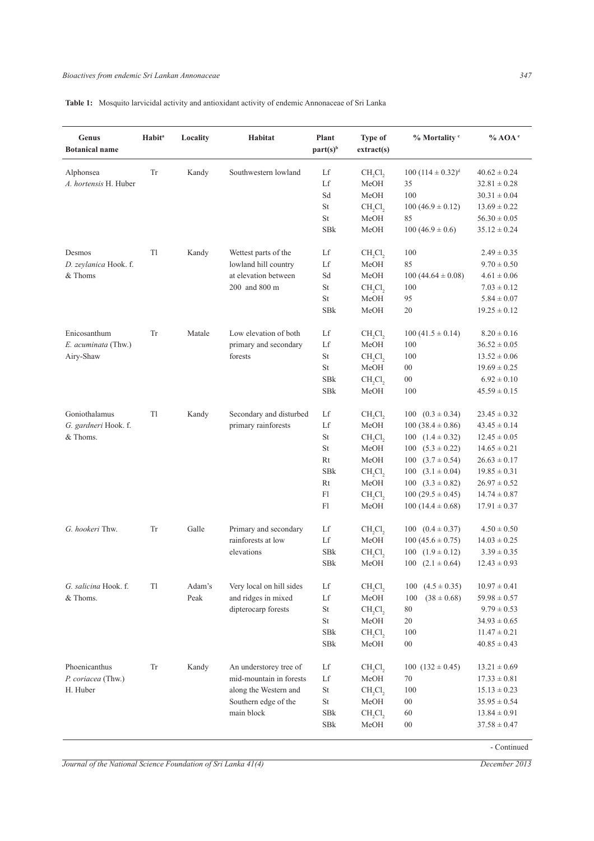**Table 1:** Mosquito larvicidal activity and antioxidant activity of endemic Annonaceae of Sri Lanka

| Genus<br><b>Botanical name</b> | <b>Habit<sup>a</sup></b> | Locality | Habitat                  | Plant<br>part(s) <sup>b</sup>                                                                 | Type of<br>extract(s)           | % Mortality c              | $%$ AOA $e$      |
|--------------------------------|--------------------------|----------|--------------------------|-----------------------------------------------------------------------------------------------|---------------------------------|----------------------------|------------------|
| Alphonsea                      | Tr                       | Kandy    | Southwestern lowland     | Lf                                                                                            | $CH_2Cl_2$                      | $100 (114 \pm 0.32)^d$     | $40.62 \pm 0.24$ |
| A. hortensis H. Huber          |                          |          |                          | Lf                                                                                            | MeOH                            | 35                         | $32.81 \pm 0.28$ |
|                                |                          |          |                          | Sd                                                                                            | MeOH                            | 100                        | $30.31 \pm 0.04$ |
|                                |                          |          |                          | St                                                                                            | CH <sub>2</sub> Cl <sub>2</sub> | $100 (46.9 \pm 0.12)$      | $13.69 \pm 0.22$ |
|                                |                          |          |                          | St                                                                                            | MeOH                            | 85                         | $56.30 \pm 0.05$ |
|                                |                          |          |                          | SBk                                                                                           | MeOH                            | $100(46.9 \pm 0.6)$        | $35.12 \pm 0.24$ |
| Desmos                         | Tl                       | Kandy    | Wettest parts of the     | Lf                                                                                            | $CH_2Cl_2$                      | 100                        | $2.49 \pm 0.35$  |
| D. zeylanica Hook. f.          |                          |          | lowland hill country     | Lf                                                                                            | MeOH                            | 85                         | $9.70 \pm 0.50$  |
| & Thoms                        |                          |          | at elevation between     | Sd                                                                                            | MeOH                            | $100(44.64 \pm 0.08)$      | $4.61 \pm 0.06$  |
|                                |                          |          | 200 and 800 m            | $\rm{St}$                                                                                     | $CH_2Cl_2$                      | 100                        | $7.03 \pm 0.12$  |
|                                |                          |          |                          | St                                                                                            | MeOH                            | 95                         | $5.84 \pm 0.07$  |
|                                |                          |          |                          | <b>SBk</b>                                                                                    | MeOH                            | 20                         | $19.25 \pm 0.12$ |
| Enicosanthum                   | Tr                       | Matale   | Low elevation of both    | Lf                                                                                            | $CH_2Cl_2$                      | $100(41.5 \pm 0.14)$       | $8.20 \pm 0.16$  |
| E. acuminata (Thw.)            |                          |          | primary and secondary    | Lf                                                                                            | MeOH                            | 100                        | $36.52 \pm 0.05$ |
| Airy-Shaw                      |                          |          | forests                  | $\rm{St}$                                                                                     | $CH_2Cl_2$                      | 100                        | $13.52 \pm 0.06$ |
|                                |                          |          |                          | St                                                                                            | MeOH                            | $00\,$                     | $19.69 \pm 0.25$ |
|                                |                          |          |                          | SBk                                                                                           | CH <sub>2</sub> Cl <sub>2</sub> | $00\,$                     | $6.92 \pm 0.10$  |
|                                |                          |          |                          | SBk                                                                                           | MeOH                            | 100                        | $45.59 \pm 0.15$ |
| Goniothalamus                  | Tl                       | Kandy    | Secondary and disturbed  | Lf                                                                                            | $CH_2Cl_2$                      | 100 $(0.3 \pm 0.34)$       | $23.45 \pm 0.32$ |
| G. gardneri Hook. f.           |                          |          | primary rainforests      | Lf                                                                                            | MeOH                            | $100(38.4 \pm 0.86)$       | $43.45 \pm 0.14$ |
| & Thoms.                       |                          |          |                          | <b>St</b>                                                                                     | $CH_2Cl_2$                      | 100 $(1.4 \pm 0.32)$       | $12.45 \pm 0.05$ |
|                                |                          |          |                          | St                                                                                            | MeOH                            | $100 (5.3 \pm 0.22)$       | $14.65 \pm 0.21$ |
|                                |                          |          |                          | Rt                                                                                            | MeOH                            | $100 \quad (3.7 \pm 0.54)$ | $26.63 \pm 0.17$ |
|                                |                          |          |                          | SBk                                                                                           | CH <sub>2</sub> Cl <sub>2</sub> | $100 (3.1 \pm 0.04)$       | $19.85 \pm 0.31$ |
|                                |                          |          |                          | Rt                                                                                            | MeOH                            | 100 $(3.3 \pm 0.82)$       | $26.97 \pm 0.52$ |
|                                |                          |          |                          | F1                                                                                            | $CH_2Cl_2$                      | $100(29.5 \pm 0.45)$       | $14.74 \pm 0.87$ |
|                                |                          |          |                          | Fl                                                                                            | MeOH                            | $100(14.4 \pm 0.68)$       | $17.91 \pm 0.37$ |
| G. hookeri Thw.                | Tr                       | Galle    | Primary and secondary    | Lf                                                                                            | $CH_2Cl_2$                      | 100 $(0.4 \pm 0.37)$       | $4.50 \pm 0.50$  |
|                                |                          |          | rainforests at low       | Lf                                                                                            | MeOH                            | $100(45.6 \pm 0.75)$       | $14.03 \pm 0.25$ |
|                                |                          |          | elevations               | SBk                                                                                           | $CH_2Cl_2$                      | 100 $(1.9 \pm 0.12)$       | $3.39 \pm 0.35$  |
|                                |                          |          |                          | <b>SBk</b>                                                                                    | MeOH                            | $100$ $(2.1 \pm 0.64)$     | $12.43 \pm 0.93$ |
| G. salicina Hook. f.           | Tl                       | Adam's   | Very local on hill sides | Lf                                                                                            | CH <sub>2</sub> Cl <sub>2</sub> | 100 $(4.5 \pm 0.35)$       | $10.97 \pm 0.41$ |
| & Thoms.                       |                          | Peak     | and ridges in mixed      | Lf                                                                                            | MeOH                            | 100<br>$(38 \pm 0.68)$     | $59.98 \pm 0.57$ |
|                                |                          |          | dipterocarp forests      | $\rm{St}$                                                                                     | CH <sub>2</sub> Cl <sub>2</sub> | 80                         | $9.79 \pm 0.53$  |
|                                |                          |          |                          | $\rm{St}$                                                                                     | MeOH                            | 20                         | $34.93 \pm 0.65$ |
|                                |                          |          |                          | SBk                                                                                           | CH <sub>2</sub> Cl <sub>2</sub> | 100                        | $11.47 \pm 0.21$ |
|                                |                          |          |                          | <b>SBk</b>                                                                                    | MeOH                            | $00\,$                     | $40.85 \pm 0.43$ |
| Phoenicanthus                  | Tr                       | Kandy    | An understorey tree of   | Lf                                                                                            | CH <sub>2</sub> Cl <sub>2</sub> | $100 (132 \pm 0.45)$       | $13.21 \pm 0.69$ |
| P. coriacea (Thw.)             |                          |          | mid-mountain in forests  | Lf                                                                                            | MeOH                            | 70                         | $17.33 \pm 0.81$ |
| H. Huber                       |                          |          | along the Western and    | $\operatorname*{St}% \nolimits_{\mathbb{Z}}\left( \mathbb{Z}^{\Sigma\left( 1\right) }\right)$ | $CH_2Cl_2$                      | 100                        | $15.13 \pm 0.23$ |
|                                |                          |          | Southern edge of the     | $\operatorname{St}$                                                                           | MeOH                            | $00\,$                     | $35.95 \pm 0.54$ |
|                                |                          |          | main block               | ${\rm SBk}$                                                                                   | $CH_2Cl_2$                      | 60                         | $13.84 \pm 0.91$ |
|                                |                          |          |                          | SBk                                                                                           | MeOH                            | $00\,$                     | $37.58 \pm 0.47$ |

- Continued

*Journal of the National Science Foundation of Sri Lanka 41(4) December 2013*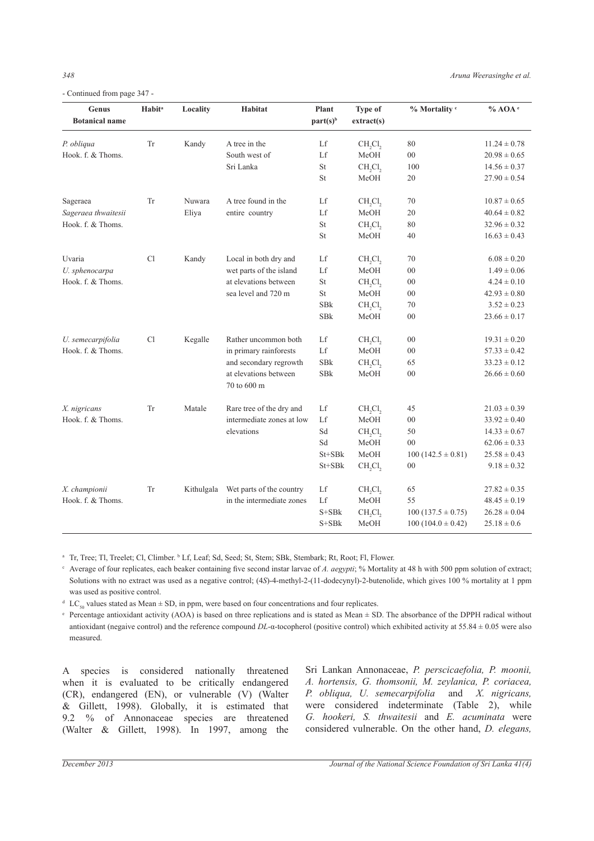- Continued from page 347 -

| Genus<br><b>Botanical name</b> | <b>Habit<sup>a</sup></b> | Locality   | Habitat                              | Plant<br>part(s) <sup>b</sup> | <b>Type of</b><br>extract(s)    | % Mortality c         | $%$ AOA $e$      |
|--------------------------------|--------------------------|------------|--------------------------------------|-------------------------------|---------------------------------|-----------------------|------------------|
| P. obliqua                     | Tr                       | Kandy      | A tree in the                        | Lf                            | CH <sub>,</sub> Cl <sub>2</sub> | 80                    | $11.24 \pm 0.78$ |
| Hook. f. & Thoms.              |                          |            | South west of                        | $_{\rm Lf}$                   | MeOH                            | $0 \\ 0$              | $20.98 \pm 0.65$ |
|                                |                          |            | Sri Lanka                            | $\operatorname{St}$           | CH <sub>,</sub> Cl <sub>2</sub> | 100                   | $14.56 \pm 0.37$ |
|                                |                          |            |                                      | St                            | MeOH                            | 20                    | $27.90 \pm 0.54$ |
| Sageraea                       | Tr                       | Nuwara     | A tree found in the                  | Lf                            | CH <sub>,</sub> Cl <sub>2</sub> | $70\,$                | $10.87 \pm 0.65$ |
| Sageraea thwaitesii            |                          | Eliya      | entire country                       | Lf                            | MeOH                            | $20\,$                | $40.64 \pm 0.82$ |
| Hook. f. & Thoms.              |                          |            |                                      | St                            | CH <sub>,</sub> Cl <sub>,</sub> | 80                    | $32.96 \pm 0.32$ |
|                                |                          |            |                                      | St                            | MeOH                            | 40                    | $16.63 \pm 0.43$ |
| Uvaria                         | Cl                       | Kandy      | Local in both dry and                | Lf                            | CH <sub>,</sub> Cl <sub>2</sub> | 70                    | $6.08 \pm 0.20$  |
| U. sphenocarpa                 |                          |            | wet parts of the island              | Lf                            | MeOH                            | $00\,$                | $1.49 \pm 0.06$  |
| Hook, f. & Thoms.              |                          |            | at elevations between                | St                            | CH <sub>,</sub> Cl <sub>2</sub> | 00                    | $4.24 \pm 0.10$  |
|                                |                          |            | sea level and 720 m                  | St                            | MeOH                            | $00\,$                | $42.93 \pm 0.80$ |
|                                |                          |            |                                      | <b>SBk</b>                    | CH <sub>,</sub> Cl <sub>2</sub> | 70                    | $3.52 \pm 0.23$  |
|                                |                          |            |                                      | ${\rm SBk}$                   | MeOH                            | $00\,$                | $23.66 \pm 0.17$ |
| U. semecarpifolia              | Cl                       | Kegalle    | Rather uncommon both                 | Lf                            | $CH_2Cl_2$                      | $0 \\ 0$              | $19.31 \pm 0.20$ |
| Hook. f. & Thoms.              |                          |            | in primary rainforests               | Lf                            | MeOH                            | $0 \\ 0$              | $57.33 \pm 0.42$ |
|                                |                          |            | and secondary regrowth               | ${\rm SBk}$                   | CH <sub>,</sub> Cl <sub>2</sub> | 65                    | $33.23 \pm 0.12$ |
|                                |                          |            | at elevations between<br>70 to 600 m | <b>SBk</b>                    | MeOH                            | 00                    | $26.66 \pm 0.60$ |
| X. nigricans                   | Tr                       | Matale     | Rare tree of the dry and             | Lf                            | CH <sub>,</sub> Cl <sub>2</sub> | 45                    | $21.03 \pm 0.39$ |
| Hook. f. & Thoms.              |                          |            | intermediate zones at low            | Lf                            | MeOH                            | $00\,$                | $33.92 \pm 0.40$ |
|                                |                          |            | elevations                           | Sd                            | CH <sub>,</sub> Cl <sub>2</sub> | 50                    | $14.33 \pm 0.67$ |
|                                |                          |            |                                      | Sd                            | MeOH                            | 00                    | $62.06 \pm 0.33$ |
|                                |                          |            |                                      | St+SBk                        | MeOH                            | $100(142.5 \pm 0.81)$ | $25.58 \pm 0.43$ |
|                                |                          |            |                                      | $St + SBk$                    | CH <sub>,</sub> Cl <sub>2</sub> | 00                    | $9.18 \pm 0.32$  |
| X. championii                  | ${\rm Tr}$               | Kithulgala | Wet parts of the country             | Lf                            | $CH_2Cl_2$                      | 65                    | $27.82 \pm 0.35$ |
| Hook. f. & Thoms.              |                          |            | in the intermediate zones            | Lf                            | MeOH                            | 55                    | $48.45 \pm 0.19$ |
|                                |                          |            |                                      | $S+SBk$                       | CH <sub>,</sub> Cl <sub>,</sub> | $100(137.5 \pm 0.75)$ | $26.28 \pm 0.04$ |
|                                |                          |            |                                      | $S+SBk$                       | MeOH                            | $100(104.0 \pm 0.42)$ | $25.18 \pm 0.6$  |

<sup>a</sup> Tr, Tree; Tl, Treelet; Cl, Climber. <sup>b</sup> Lf, Leaf; Sd, Seed; St, Stem; SBk, Stembark; Rt, Root; Fl, Flower.

c Average of four replicates, each beaker containing five second instar larvae of *A. aegypti*; % Mortality at 48 h with 500 ppm solution of extract; Solutions with no extract was used as a negative control; (4*S*)-4-methyl-2-(11-dodecynyl)-2-butenolide, which gives 100 % mortality at 1 ppm was used as positive control.

<sup>d</sup> LC<sub>50</sub> values stated as Mean  $\pm$  SD, in ppm, were based on four concentrations and four replicates.

<sup>e</sup> Percentage antioxidant activity (AOA) is based on three replications and is stated as Mean ± SD. The absorbance of the DPPH radical without antioxidant (negaive control) and the reference compound *DL*-α-tocopherol (positive control) which exhibited activity at 55.84 ± 0.05 were also measured.

A species is considered nationally threatened when it is evaluated to be critically endangered (CR), endangered (EN), or vulnerable (V) (Walter & Gillett, 1998). Globally, it is estimated that 9.2 % of Annonaceae species are threatened (Walter & Gillett, 1998). In 1997, among the Sri Lankan Annonaceae, *P. perscicaefolia, P. moonii, A. hortensis, G. thomsonii, M. zeylanica, P. coriacea, P. obliqua, U. semecarpifolia* and *X. nigricans,*  were considered indeterminate (Table 2), while *G. hookeri, S. thwaitesii* and *E. acuminata* were considered vulnerable. On the other hand, *D. elegans,*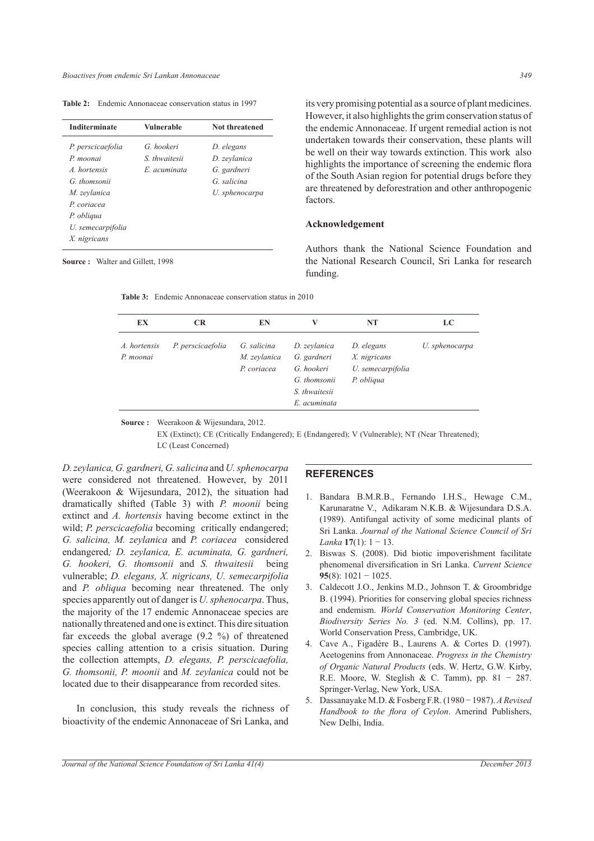**Table 2:** Endemic Annonaceae conservation status in 1997

| <b>Inditerminate</b> | Vulnerable    | Not threatened |
|----------------------|---------------|----------------|
| P. perscicaefolia    | G. hookeri    | D. elegans     |
| P. moonai            | S. thwaitesii | D. zeylanica   |
| A hortensis          | E acuminata   | G. gardneri    |
| G. thomsonii         |               | G. salicina    |
| M. zeylanica         |               | U. sphenocarpa |
| P coriacea           |               |                |
| P. obliqua           |               |                |
| U. semecarpifolia    |               |                |
| X. nigricans         |               |                |

its very promising potential as a source of plant medicines. However, it also highlights the grim conservation status of the endemic Annonaceae. If urgent remedial action is not undertaken towards their conservation, these plants will be well on their way towards extinction. This work also highlights the importance of screening the endemic flora of the South Asian region for potential drugs before they are threatened by deforestration and other anthropogenic factors.

### **Acknowledgement**

Authors thank the National Science Foundation and the National Research Council, Sri Lanka for research funding.

|  | <b>Source:</b> Walter and Gillett, 1998 |  |
|--|-----------------------------------------|--|
|  |                                         |  |

| EX                        | <b>CR</b>         | EN                          | V                                                           | NT                              | LC             |
|---------------------------|-------------------|-----------------------------|-------------------------------------------------------------|---------------------------------|----------------|
| A. hortensis<br>P. moonai | P. perscicaefolia | G. salicina<br>M. zeylanica | D. zeylanica<br>G. gardneri                                 | D. elegans<br>X. nigricans      | U. sphenocarpa |
|                           |                   | P. coriacea                 | G. hookeri<br>G. thomsonii<br>S. thwaitesii<br>E. acuminata | U. semecarpifolia<br>P. obliqua |                |

**Table 3:** Endemic Annonaceae conservation status in 2010

**Source :** Weerakoon & Wijesundara, 2012. EX (Extinct); CE (Critically Endangered); E (Endangered); V (Vulnerable); NT (Near Threatened); LC (Least Concerned)

*D. zeylanica, G. gardneri, G. salicina* and *U. sphenocarpa* were considered not threatened. However, by 2011 (Weerakoon & Wijesundara, 2012), the situation had dramatically shifted (Table 3) with *P. moonii* being extinct and *A. hortensis* having become extinct in the wild; *P. perscicaefolia* becoming critically endangered; *G. salicina, M. zeylanica* and *P. coriacea* considered endangered*; D. zeylanica, E. acuminata, G. gardneri, G. hookeri, G. thomsonii* and *S. thwaitesii* being vulnerable; *D. elegans, X. nigricans, U. semecarpifolia* and *P. obliqua* becoming near threatened. The only species apparently out of danger is *U. sphenocarpa*. Thus, the majority of the 17 endemic Annonaceae species are nationally threatened and one is extinct. This dire situation far exceeds the global average (9.2 %) of threatened species calling attention to a crisis situation. During the collection attempts, *D. elegans, P. perscicaefolia, G. thomsonii, P. moonii* and *M. zeylanica* could not be located due to their disappearance from recorded sites.

 In conclusion, this study reveals the richness of bioactivity of the endemic Annonaceae of Sri Lanka, and

#### **REFERENCES**

- 1. Bandara B.M.R.B., Fernando I.H.S., Hewage C.M., Karunaratne V., Adikaram N.K.B. & Wijesundara D.S.A. (1989). Antifungal activity of some medicinal plants of Sri Lanka. *Journal of the National Science Council of Sri Lanka* **17**(1): 1 − 13.
- 2. Biswas S. (2008). Did biotic impoverishment facilitate phenomenal diversification in Sri Lanka. *Current Science*  **95**(8): 1021 − 1025.
- 3. Caldecott J.O., Jenkins M.D., Johnson T. & Groombridge B. (1994). Priorities for conserving global species richness and endemism. *World Conservation Monitoring Center*, *Biodiversity Series No. 3* (ed. N.M. Collins), pp. 17. World Conservation Press, Cambridge, UK.
- 4. Cave A., Figadère B., Laurens A. & Cortes D. (1997). Acetogenins from Annonaceae. *Progress in the Chemistry of Organic Natural Products* (eds. W. Hertz, G.W. Kirby, R.E. Moore, W. Steglish & C. Tamm), pp. 81 − 287. Springer-Verlag, New York, USA.
- 5. Dassanayake M.D. & Fosberg F.R. (1980 − 1987). *A Revised Handbook to the flora of Ceylon*. Amerind Publishers, New Delhi, India.